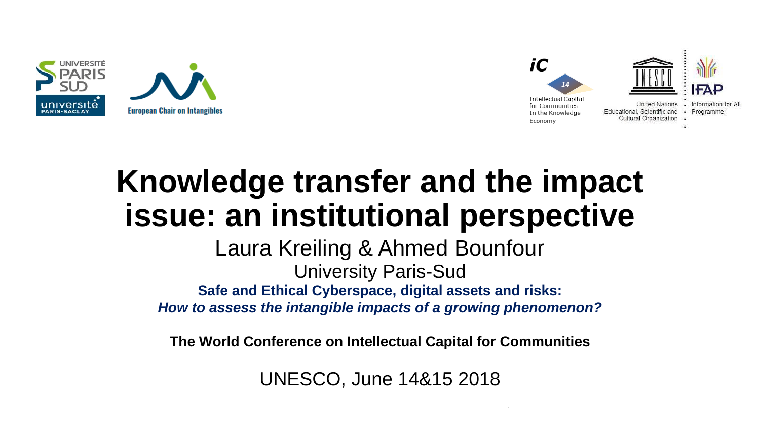



# **Knowledge transfer and the impact issue: an institutional perspective**

**Safe and Ethical Cyberspace, digital assets and risks:**  *How to assess the intangible impacts of a growing phenomenon?* Laura Kreiling & Ahmed Bounfour University Paris-Sud

**The World Conference on Intellectual Capital for Communities**

UNESCO, June 14&15 2018

 $14\pm 15$ th June 2018 The World Conference on Intellectual Capital for Communities on Intellectual for Communities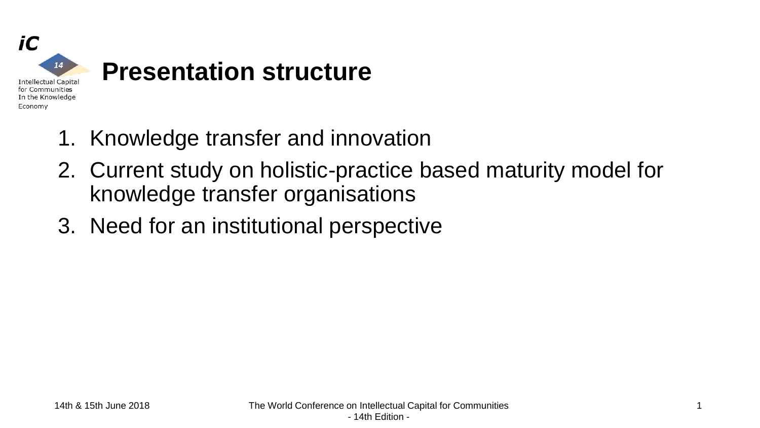

- 1. Knowledge transfer and innovation
- 2. Current study on holistic-practice based maturity model for knowledge transfer organisations
- 3. Need for an institutional perspective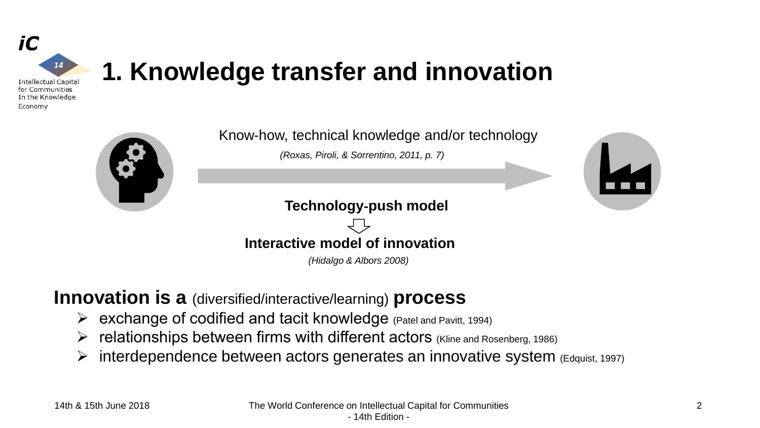

### **1. Knowledge transfer and innovation**

Know-how, technical knowledge and/or technology

*(Roxas, Piroli, & Sorrentino, 2011, p. 7)*





**Technology**‐**push model**



*(Hidalgo & Albors 2008)*

#### **Innovation is a** (diversified/interactive/learning) **process**

- ➢ exchange of codified and tacit knowledge (Patel and Pavitt, 1994)
- ➢ relationships between firms with different actors (Kline and Rosenberg, 1986)
- $\triangleright$  interdependence between actors generates an innovative system (Edquist, 1997)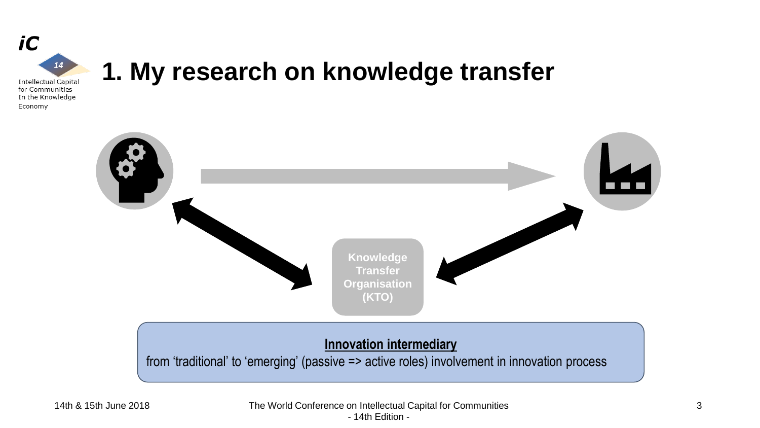

### **1. My research on knowledge transfer**

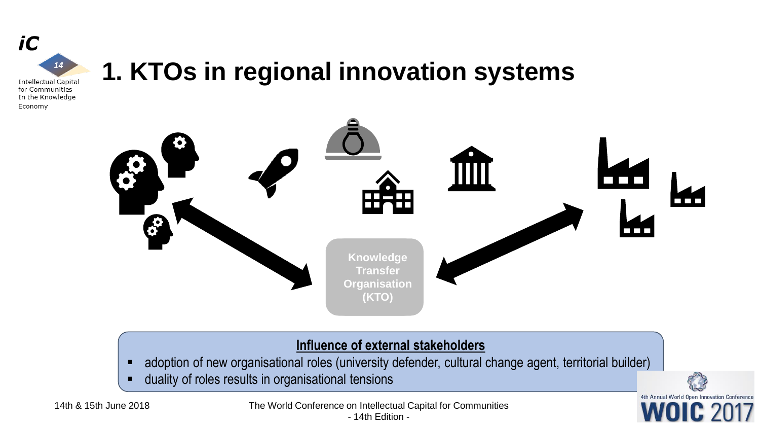

### **1. KTOs in regional innovation systems**



#### **Influence of external stakeholders**

4

4th Annual World Open Innovation Conference

- **E** adoption of new organisational roles (university defender, cultural change agent, territorial builder)
- **■** duality of roles results in organisational tensions



14th & 15th June 2018 The World Conference on Intellectual Capital for Communities - 14th Edition -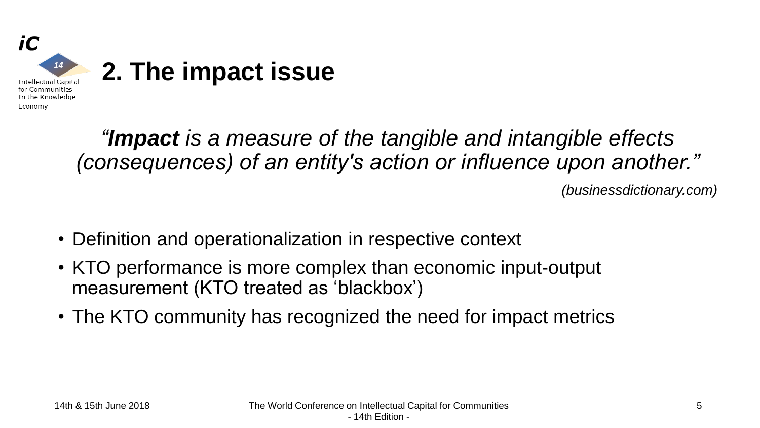

*"Impact is a measure of the tangible and intangible effects (consequences) of an entity's action or influence upon another."*

*(businessdictionary.com)*

- Definition and operationalization in respective context
- KTO performance is more complex than economic input-output measurement (KTO treated as 'blackbox')
- The KTO community has recognized the need for impact metrics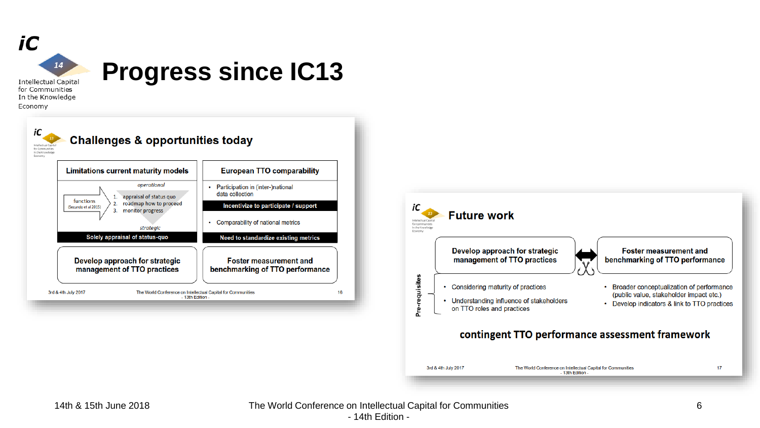

In the Knowledge Economy





14th & 15th June 2018 The World Conference on Intellectual Capital for Communities - 14th Edition -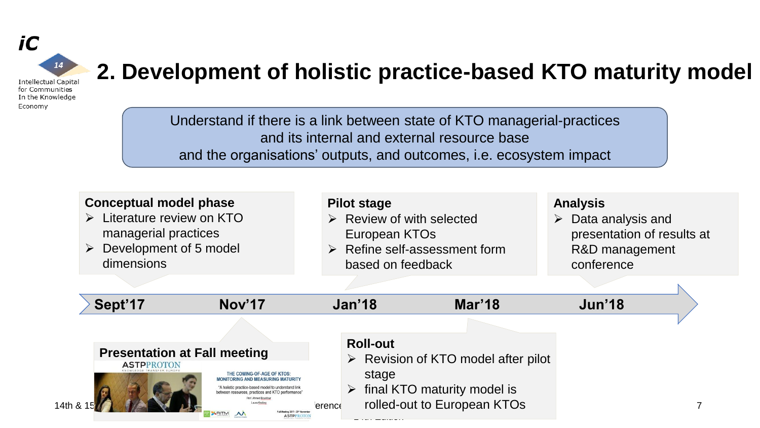

#### **2. Development of holistic practice-based KTO maturity model**

Understand if there is a link between state of KTO managerial-practices and its internal and external resource base and the organisations' outputs, and outcomes, i.e. ecosystem impact

|                   | <b>Conceptual model phase</b><br>$\triangleright$ Literature review on KTO<br>managerial practices<br>$\triangleright$ Development of 5 model<br>dimensions                                                          |        | <b>Pilot stage</b><br>European KTOs<br>based on feedback | $\triangleright$ Review of with selected<br>$\triangleright$ Refine self-assessment form | <b>Analysis</b><br>≻ | Data analysis and<br>presentation of results at<br>R&D management<br>conference |  |
|-------------------|----------------------------------------------------------------------------------------------------------------------------------------------------------------------------------------------------------------------|--------|----------------------------------------------------------|------------------------------------------------------------------------------------------|----------------------|---------------------------------------------------------------------------------|--|
| Sept'17           | Nov'17                                                                                                                                                                                                               |        | Jan'18                                                   | <b>Mar'18</b>                                                                            | Jun'18               |                                                                                 |  |
|                   |                                                                                                                                                                                                                      |        |                                                          |                                                                                          |                      |                                                                                 |  |
| <b>ASTPPROTON</b> | <b>Presentation at Fall meeting</b><br>THE COMING-OF-AGE OF KTOS<br><b>MONITORING AND MEASURING MATURITY</b>                                                                                                         |        | <b>Roll-out</b><br>stage                                 | $\triangleright$ Revision of KTO model after pilot                                       |                      |                                                                                 |  |
| 14th & 15         | "A holistic practice-based model to understand link<br>between resources, practices and KTO performance"<br>Prof. Ahmed Bounfou<br>all Meeting 2017 - 23 <sup>rd</sup> Noveml<br><b>XRITM M</b><br><b>ASTPPROTOM</b> | erence |                                                          | $\triangleright$ final KTO maturity model is<br>rolled-out to European KTOs              |                      |                                                                                 |  |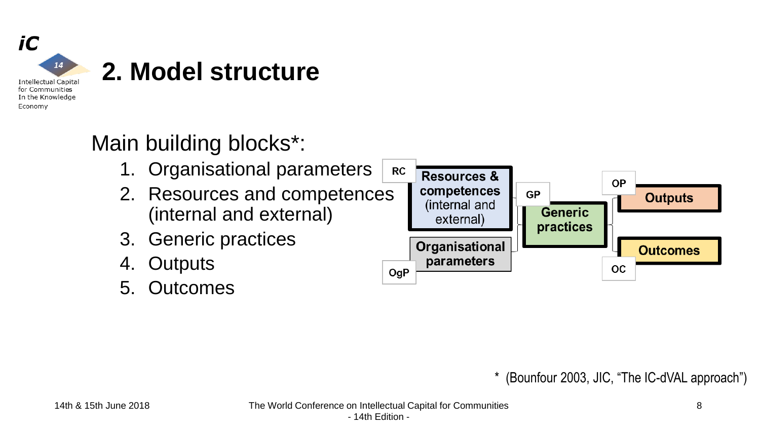

#### Main building blocks\*:

- 1. Organisational parameters
- 2. Resources and competences (internal and external)
- 3. Generic practices
- 4. Outputs
- 5. Outcomes



\* (Bounfour 2003, JIC, "The IC-dVAL approach")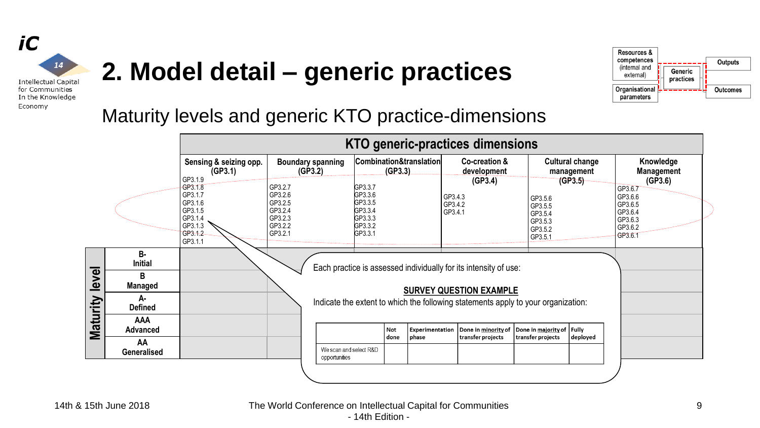

### **2. Model detail – generic practices**



#### Maturity levels and generic KTO practice-dimensions

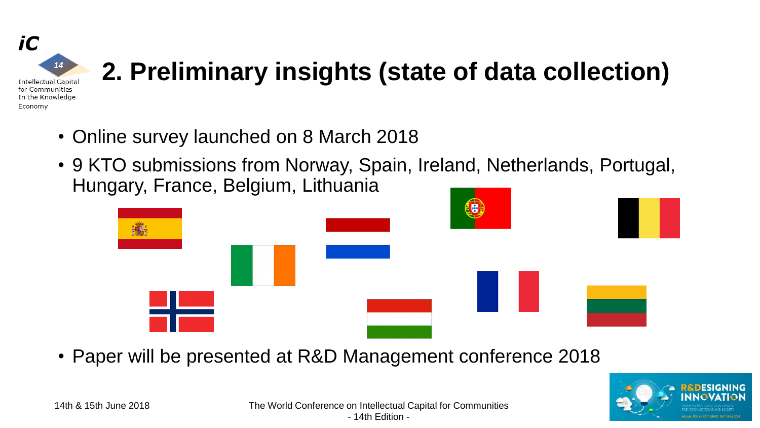

# **2. Preliminary insights (state of data collection)**

- Online survey launched on 8 March 2018
- 9 KTO submissions from Norway, Spain, Ireland, Netherlands, Portugal, Hungary, France, Belgium, Lithuania



• Paper will be presented at R&D Management conference 2018

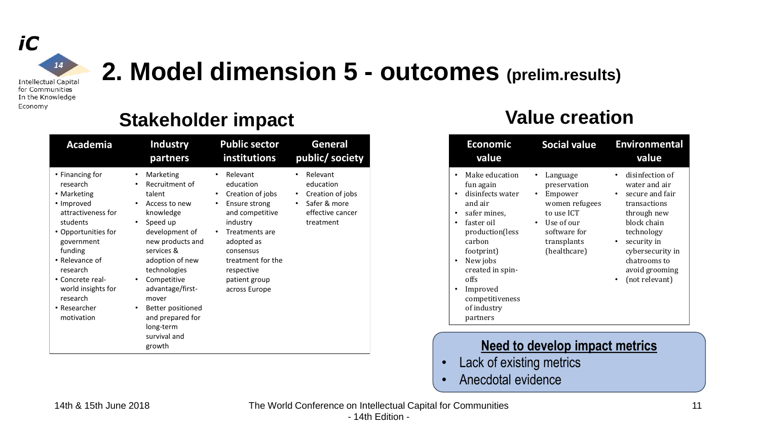

Economy

### **2. Model dimension 5 - outcomes (prelim.results)**

#### **Stakeholder impact Walue creation**

| Academia                                                                                                                                                                                                                                                             | <b>Industry</b>                                                                                                                                                                                                                                                                                                             | <b>Public sector</b>                                                                                                                                                                                                                       | General                                                                                                      |
|----------------------------------------------------------------------------------------------------------------------------------------------------------------------------------------------------------------------------------------------------------------------|-----------------------------------------------------------------------------------------------------------------------------------------------------------------------------------------------------------------------------------------------------------------------------------------------------------------------------|--------------------------------------------------------------------------------------------------------------------------------------------------------------------------------------------------------------------------------------------|--------------------------------------------------------------------------------------------------------------|
|                                                                                                                                                                                                                                                                      | partners                                                                                                                                                                                                                                                                                                                    | <b>institutions</b>                                                                                                                                                                                                                        | public/ society                                                                                              |
| • Financing for<br>research<br>• Marketing<br>• Improved<br>attractiveness for<br>students<br>• Opportunities for<br>government<br>funding<br>$\bullet$ Relevance of<br>research<br>• Concrete real-<br>world insights for<br>research<br>• Researcher<br>motivation | Marketing<br>٠<br>Recruitment of<br>talent<br>Access to new<br>٠<br>knowledge<br>Speed up<br>٠<br>development of<br>new products and<br>services &<br>adoption of new<br>technologies<br>Competitive<br>٠<br>advantage/first-<br>mover<br>Better positioned<br>٠<br>and prepared for<br>long-term<br>survival and<br>growth | Relevant<br>$\bullet$<br>education<br>Creation of jobs<br>Ensure strong<br>٠<br>and competitive<br>industry<br>Treatments are<br>$\bullet$<br>adopted as<br>consensus<br>treatment for the<br>respective<br>patient group<br>across Europe | Relevant<br>education<br>Creation of jobs<br>٠<br>Safer & more<br>$\bullet$<br>effective cancer<br>treatment |

| <b>Economic</b><br>value                                                                                                                                                                                                                   | <b>Social value</b>                                                                                                                           | <b>Environmental</b><br>value                                                                                                                                                                                                    |
|--------------------------------------------------------------------------------------------------------------------------------------------------------------------------------------------------------------------------------------------|-----------------------------------------------------------------------------------------------------------------------------------------------|----------------------------------------------------------------------------------------------------------------------------------------------------------------------------------------------------------------------------------|
| Make education<br>fun again<br>disinfects water<br>and air<br>safer mines.<br>faster oil<br>production(less<br>carbon<br>footprint)<br>New jobs<br>٠<br>created in spin-<br>offs<br>Improved<br>competitiveness<br>of industry<br>partners | Language<br>preservation<br>Empower<br>women refugees<br>to use ICT<br>Use of our<br>$\bullet$<br>software for<br>transplants<br>(healthcare) | disinfection of<br>water and air<br>secure and fair<br>transactions<br>through new<br>block chain<br>technology<br>security in<br>$\bullet$<br>cybersecurity in<br>chatrooms to<br>avoid grooming<br>(not relevant)<br>$\bullet$ |

#### **Need to develop impact metrics**

- Lack of existing metrics
- Anecdotal evidence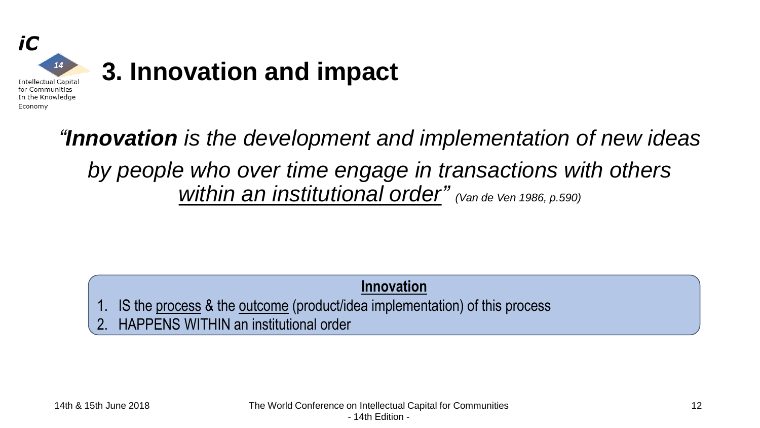

*"Innovation is the development and implementation of new ideas by people who over time engage in transactions with others within an institutional order" (Van de Ven 1986, p.590)*

**Innovation**

1. IS the process & the outcome (product/idea implementation) of this process

2. HAPPENS WITHIN an institutional order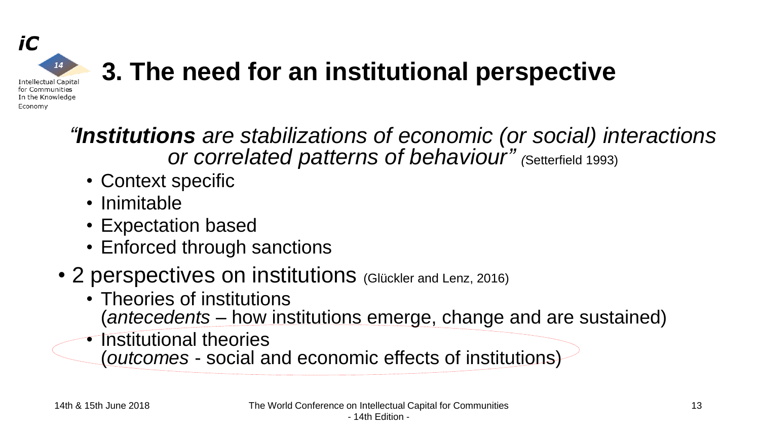

## **3. The need for an institutional perspective**

*"Institutions are stabilizations of economic (or social) interactions or correlated patterns of behaviour" (*Setterfield 1993)

- Context specific
- Inimitable
- Expectation based
- Enforced through sanctions
- 2 perspectives on institutions (Glückler and Lenz, 2016)
	- Theories of institutions (*antecedents* – how institutions emerge, change and are sustained)
	- Institutional theories
		- (*outcomes* social and economic effects of institutions)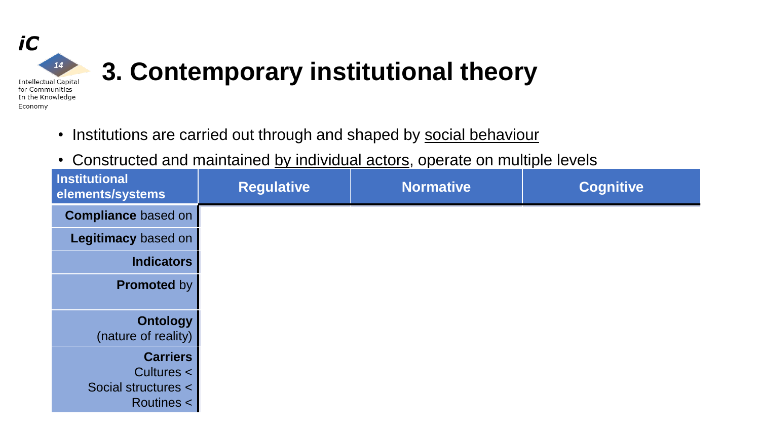

- Institutions are carried out through and shaped by social behaviour
- Constructed and maintained by individual actors, operate on multiple levels

| <b>Institutional</b><br>elements/systems                           | <b>Regulative</b> | <b>Normative</b> | <b>Cognitive</b> |
|--------------------------------------------------------------------|-------------------|------------------|------------------|
| <b>Compliance based on</b>                                         |                   |                  |                  |
| Legitimacy based on                                                |                   |                  |                  |
| <b>Indicators</b>                                                  |                   |                  |                  |
| <b>Promoted by</b>                                                 |                   |                  |                  |
| <b>Ontology</b><br>(nature of reality)                             |                   |                  |                  |
| <b>Carriers</b><br>Cultures <<br>Social structures <<br>Routines < |                   |                  |                  |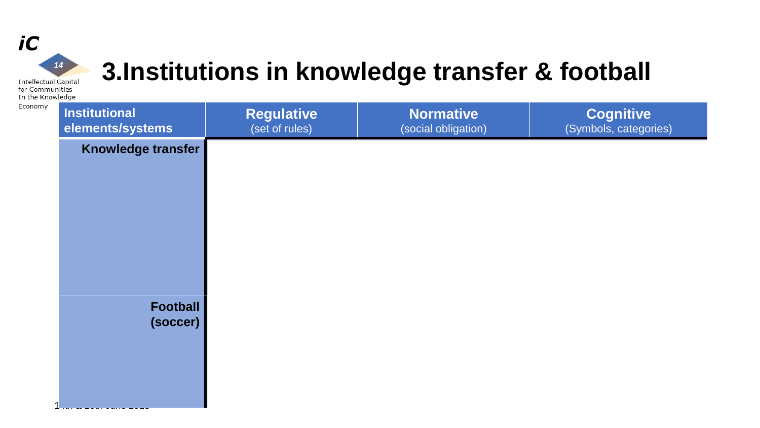

### **3.Institutions in knowledge transfer & football**

**Intellectual Capital** for Communities In the Knowledge

| Institutional<br>elements/systems | <b>Regulative</b><br>(set of rules) | <b>Normative</b><br>(social obligation) | <b>Cognitive</b><br>(Symbols, categories) |
|-----------------------------------|-------------------------------------|-----------------------------------------|-------------------------------------------|
| Knowledge transfer                |                                     |                                         |                                           |
|                                   |                                     |                                         |                                           |
|                                   |                                     |                                         |                                           |
|                                   |                                     |                                         |                                           |
|                                   |                                     |                                         |                                           |
|                                   |                                     |                                         |                                           |
| <b>Football</b><br>(soccer)       |                                     |                                         |                                           |
|                                   |                                     |                                         |                                           |
|                                   |                                     |                                         |                                           |
|                                   |                                     |                                         |                                           |
|                                   |                                     |                                         |                                           |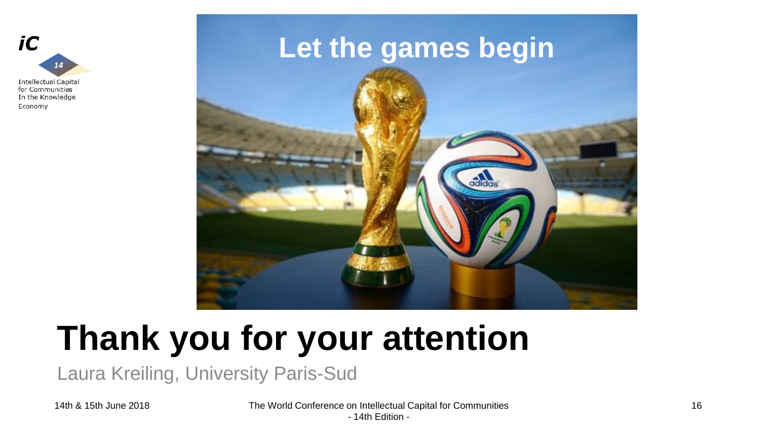

### **Let the games begin**



# **Thank you for your attention**

Laura Kreiling, University Paris-Sud

14th & 15th June 2018 The World Conference on Intellectual Capital for Communities - 14th Edition -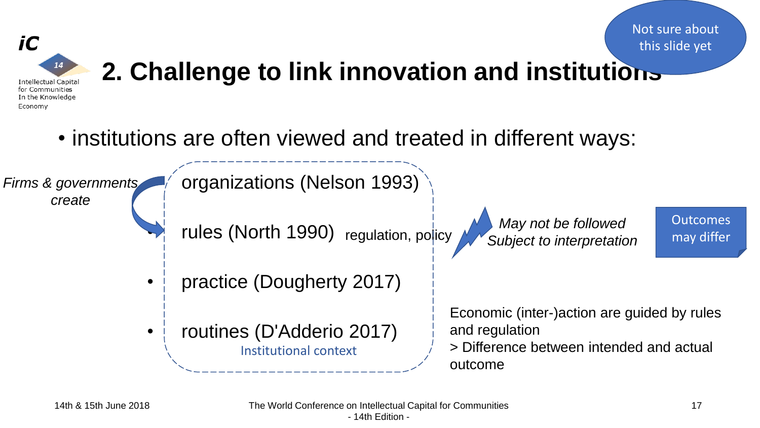



# **2. Challenge to link innovation and institutions**

• institutions are often viewed and treated in different ways:

*Firms & governments create*



- **Trules (North 1990)** regulation, policy
- practice (Dougherty 2017)
- routines (D'Adderio 2017) Institutional context

*May not be followed Subject to interpretation*

**Outcomes** may differ

Economic (inter-)action are guided by rules and regulation

> Difference between intended and actual outcome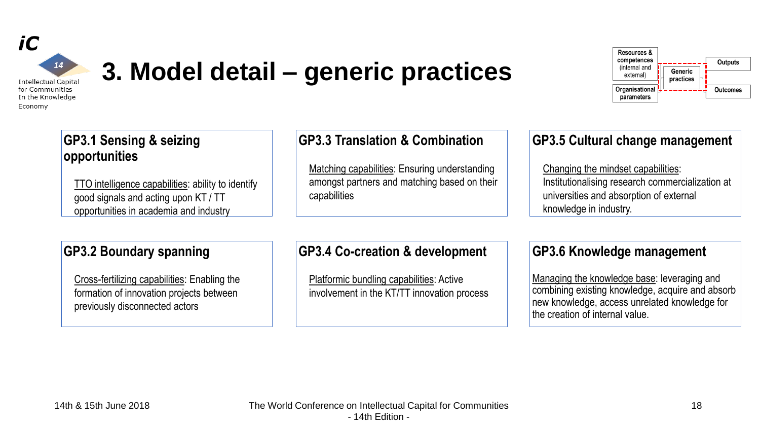

### **3. Model detail – generic practices**

Resources & competences **Outputs** (internal and Generic external) practices Organisational **Outcomes** parameters

#### **GP3.1 Sensing & seizing opportunities**

TTO intelligence capabilities: ability to identify good signals and acting upon KT / TT opportunities in academia and industry

#### **GP3.3 Translation & Combination**

Matching capabilities: Ensuring understanding amongst partners and matching based on their capabilities

#### **GP3.5 Cultural change management**

Changing the mindset capabilities: Institutionalising research commercialization at universities and absorption of external knowledge in industry.

#### **GP3.2 Boundary spanning**

Cross-fertilizing capabilities: Enabling the formation of innovation projects between previously disconnected actors

#### **GP3.4 Co-creation & development**

Platformic bundling capabilities: Active involvement in the KT/TT innovation process

#### **GP3.6 Knowledge management**

Managing the knowledge base: leveraging and combining existing knowledge, acquire and absorb new knowledge, access unrelated knowledge for the creation of internal value.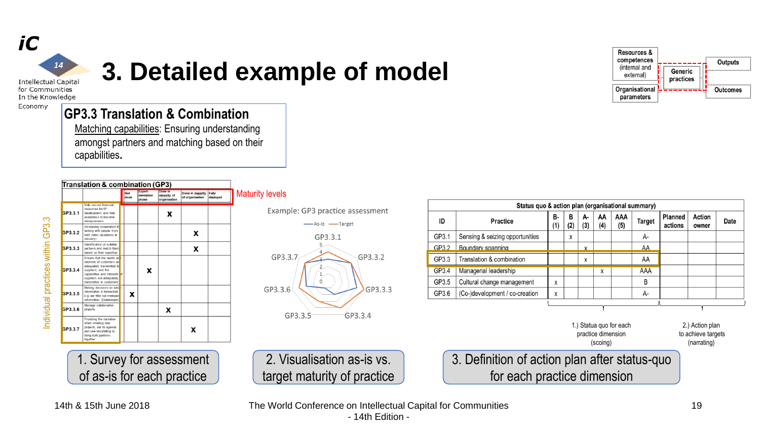

### **3. Detailed example of model**

In the Knowledge

Economy

#### **GP3.3 Translation & Combination**

Matching capabilities: Ensuring understanding amongst partners and matching based on their capabilities**.**



1. Survey for assessment

of as-is for each practice

Maturity levels

Example: GP3 practice assessment



2. Visualisation as-is vs. target maturity of practice

| ID                                                        | <b>Practice</b>                 | <b>B-</b><br>(1) | AA<br>в<br><b>AAA</b><br>А-<br>Target<br>(2)<br>(3)<br>(4)<br>(5) |  | <b>Planned</b><br>actions | Action<br>owner | Date                                  |  |  |  |
|-----------------------------------------------------------|---------------------------------|------------------|-------------------------------------------------------------------|--|---------------------------|-----------------|---------------------------------------|--|--|--|
| GP3.1                                                     | Sensing & seizing opportunities |                  | A-<br>x                                                           |  |                           |                 |                                       |  |  |  |
| GP3.2                                                     | Boundary spanning               |                  | AA<br>x                                                           |  |                           |                 |                                       |  |  |  |
| GP3.3                                                     | Translation & combination       |                  | AA<br>X                                                           |  |                           |                 |                                       |  |  |  |
| GP3.4                                                     | Managerial leadership           |                  | AAA<br>x                                                          |  |                           |                 |                                       |  |  |  |
| GP3.5                                                     | Cultural change management      | x                | B                                                                 |  |                           |                 |                                       |  |  |  |
| GP3.6                                                     | (Co-)development / co-creation  | x                |                                                                   |  |                           |                 | A-                                    |  |  |  |
| 1.) Statua quo for each<br>practice dimension<br>(scoing) |                                 |                  |                                                                   |  |                           |                 | 2.) Action plan<br>to achieve targets |  |  |  |



|  |  |  |  |  | 14th & 15th June 2018 |
|--|--|--|--|--|-----------------------|
|--|--|--|--|--|-----------------------|

The World Conference on Intellectual Capital for Communities